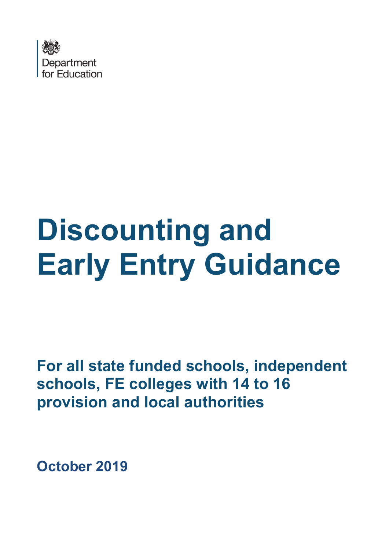

# **Discounting and Early Entry Guidance**

**For all state funded schools, independent schools, FE colleges with 14 to 16 provision and local authorities** 

**October 2019**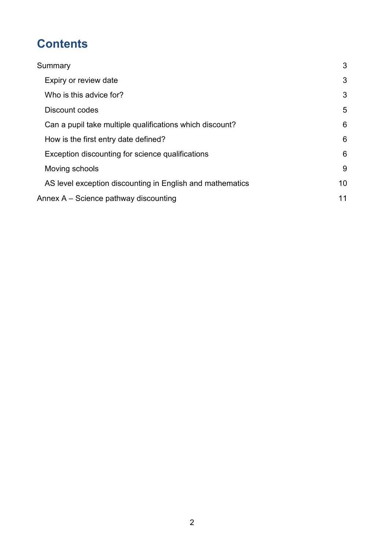# **Contents**

| Summary                                                   | 3  |
|-----------------------------------------------------------|----|
| Expiry or review date                                     | 3  |
| Who is this advice for?                                   | 3  |
| Discount codes                                            | 5  |
| Can a pupil take multiple qualifications which discount?  | 6  |
| How is the first entry date defined?                      | 6  |
| Exception discounting for science qualifications          | 6  |
| Moving schools                                            | 9  |
| AS level exception discounting in English and mathematics | 10 |
| Annex A – Science pathway discounting                     | 11 |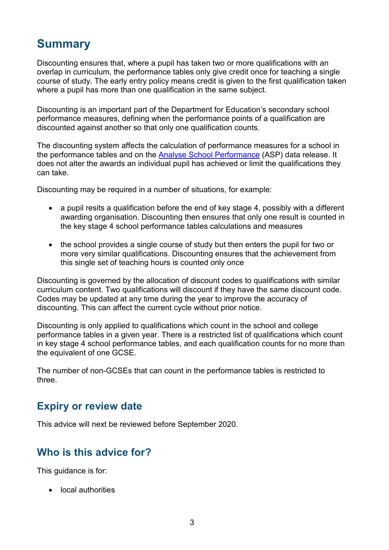## <span id="page-2-0"></span>**Summary**

Discounting ensures that, where a pupil has taken two or more qualifications with an overlap in curriculum, the performance tables only give credit once for teaching a single course of study. The early entry policy means credit is given to the first qualification taken where a pupil has more than one qualification in the same subject.

Discounting is an important part of the Department for Education's secondary school performance measures, defining when the performance points of a qualification are discounted against another so that only one qualification counts.

The discounting system affects the calculation of performance measures for a school in the performance tables and on the [Analyse School Performance](https://www.youtube.com/watch?v=A7sFQiEQdMY&feature=youtu.be) (ASP) data release. It does not alter the awards an individual pupil has achieved or limit the qualifications they can take.

Discounting may be required in a number of situations, for example:

- a pupil resits a qualification before the end of key stage 4, possibly with a different awarding organisation. Discounting then ensures that only one result is counted in the key stage 4 school performance tables calculations and measures
- the school provides a single course of study but then enters the pupil for two or more very similar qualifications. Discounting ensures that the achievement from this single set of teaching hours is counted only once

Discounting is governed by the allocation of discount codes to qualifications with similar curriculum content. Two qualifications will discount if they have the same discount code. Codes may be updated at any time during the year to improve the accuracy of discounting. This can affect the current cycle without prior notice.

Discounting is only applied to qualifications which count in the school and college performance tables in a given year. There is a restricted list of qualifications which count in key stage 4 school performance tables, and each qualification counts for no more than the equivalent of one GCSE.

The number of non-GCSEs that can count in the performance tables is restricted to three.

## <span id="page-2-1"></span>**Expiry or review date**

<span id="page-2-2"></span>This advice will next be reviewed before September 2020.

## **Who is this advice for?**

This guidance is for:

• local authorities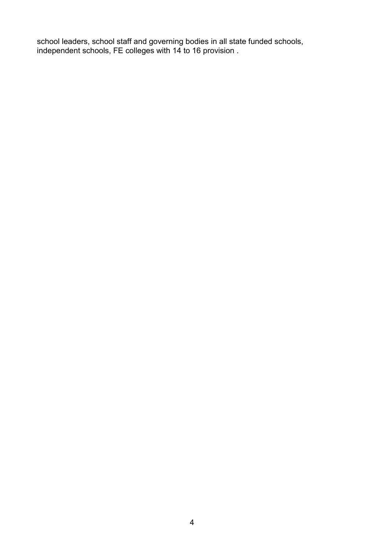school leaders, school staff and governing bodies in all state funded schools, independent schools, FE colleges with 14 to 16 provision .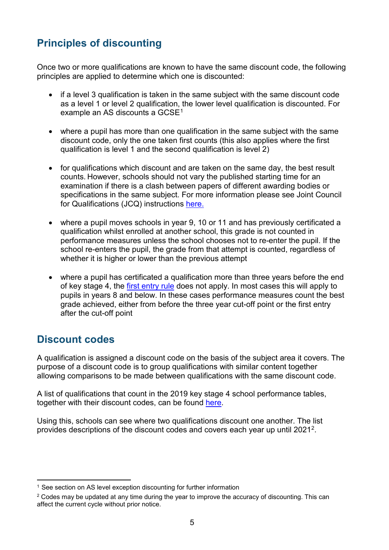## **Principles of discounting**

Once two or more qualifications are known to have the same discount code, the following principles are applied to determine which one is discounted:

- if a level 3 qualification is taken in the same subject with the same discount code as a level 1 or level 2 qualification, the lower level qualification is discounted. For example an AS discounts a GCSE<sup>[1](#page-4-1)</sup>
- where a pupil has more than one qualification in the same subject with the same discount code, only the one taken first counts (this also applies where the first qualification is level 1 and the second qualification is level 2)
- for qualifications which discount and are taken on the same day, the best result counts. However, schools should not vary the published starting time for an examination if there is a clash between papers of different awarding bodies or specifications in the same subject. For more information please see Joint Council for Qualifications (JCQ) instructions [here.](https://www.jcq.org.uk/exams-office/ice---instructions-for-conducting-examinations/instructions-for-conducting-examinations-2019-2020)
- where a pupil moves schools in year 9, 10 or 11 and has previously certificated a qualification whilst enrolled at another school, this grade is not counted in performance measures unless the school chooses not to re-enter the pupil. If the school re-enters the pupil, the grade from that attempt is counted, regardless of whether it is higher or lower than the previous attempt
- where a pupil has certificated a qualification more than three years before the end of key stage 4, the [first entry rule](#page-5-1) does not apply. In most cases this will apply to pupils in years 8 and below. In these cases performance measures count the best grade achieved, either from before the three year cut-off point or the first entry after the cut-off point

## <span id="page-4-0"></span>**Discount codes**

A qualification is assigned a discount code on the basis of the subject area it covers. The purpose of a discount code is to group qualifications with similar content together allowing comparisons to be made between qualifications with the same discount code.

A list of qualifications that count in the 2019 key stage 4 school performance tables, together with their discount codes, can be found [here.](https://www.gov.uk/government/publications/key-stage-4-qualifications-discount-codes-and-point-scores)

Using this, schools can see where two qualifications discount one another. The list provides descriptions of the discount codes and covers each year up until 2021[2](#page-4-2).

<span id="page-4-1"></span><sup>&</sup>lt;sup>1</sup> See section on AS level exception discounting for further information

<span id="page-4-2"></span> $2$  Codes may be updated at any time during the year to improve the accuracy of discounting. This can affect the current cycle without prior notice.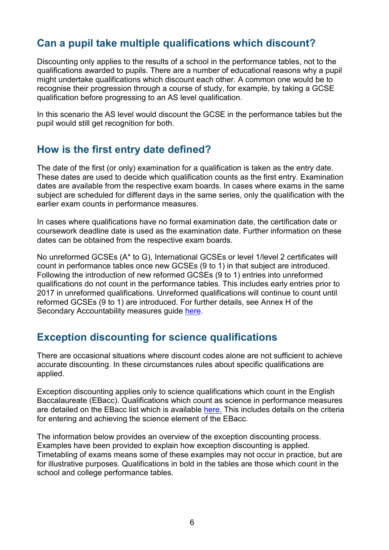## <span id="page-5-0"></span>**Can a pupil take multiple qualifications which discount?**

Discounting only applies to the results of a school in the performance tables, not to the qualifications awarded to pupils. There are a number of educational reasons why a pupil might undertake qualifications which discount each other. A common one would be to recognise their progression through a course of study, for example, by taking a GCSE qualification before progressing to an AS level qualification.

In this scenario the AS level would discount the GCSE in the performance tables but the pupil would still get recognition for both.

## <span id="page-5-1"></span>**How is the first entry date defined?**

The date of the first (or only) examination for a qualification is taken as the entry date. These dates are used to decide which qualification counts as the first entry. Examination dates are available from the respective exam boards. In cases where exams in the same subject are scheduled for different days in the same series, only the qualification with the earlier exam counts in performance measures.

In cases where qualifications have no formal examination date, the certification date or coursework deadline date is used as the examination date. Further information on these dates can be obtained from the respective exam boards.

No unreformed GCSEs (A\* to G), International GCSEs or level 1/level 2 certificates will count in performance tables once new GCSEs (9 to 1) in that subject are introduced. Following the introduction of new reformed GCSEs (9 to 1) entries into unreformed qualifications do not count in the performance tables. This includes early entries prior to 2017 in unreformed qualifications. Unreformed qualifications will continue to count until reformed GCSEs (9 to 1) are introduced. For further details, see Annex H of the Secondary Accountability measures guide [here.](http://www.gov.uk/government/publications/progress-8-school-performance-measure)

## <span id="page-5-2"></span>**Exception discounting for science qualifications**

There are occasional situations where discount codes alone are not sufficient to achieve accurate discounting. In these circumstances rules about specific qualifications are applied.

Exception discounting applies only to science qualifications which count in the English Baccalaureate (EBacc). Qualifications which count as science in performance measures are detailed on the EBacc list which is available [here.](https://www.gov.uk/government/uploads/system/uploads/attachment_data/file/532909/Key_stage_4_qualifications_counting_in_the_English_Baccalaureate.xls) This includes details on the criteria for entering and achieving the science element of the EBacc.

The information below provides an overview of the exception discounting process. Examples have been provided to explain how exception discounting is applied. Timetabling of exams means some of these examples may not occur in practice, but are for illustrative purposes. Qualifications in bold in the tables are those which count in the school and college performance tables.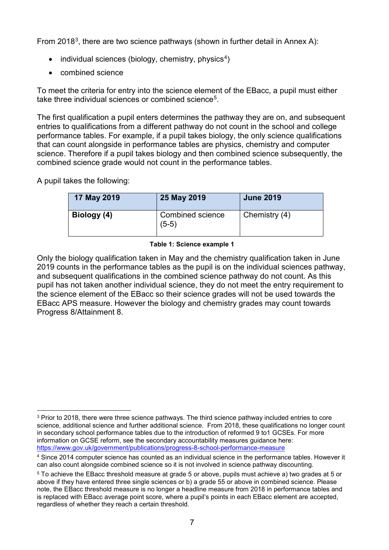From 2018<sup>3</sup>, there are two science pathways (shown in further detail in Annex A):

- individual sciences (biology, chemistry, physics<sup>4</sup>)
- combined science

To meet the criteria for entry into the science element of the EBacc, a pupil must either take three individual sciences or combined science<sup>5</sup>.

The first qualification a pupil enters determines the pathway they are on, and subsequent entries to qualifications from a different pathway do not count in the school and college performance tables. For example, if a pupil takes biology, the only science qualifications that can count alongside in performance tables are physics, chemistry and computer science. Therefore if a pupil takes biology and then combined science subsequently, the combined science grade would not count in the performance tables.

A pupil takes the following:

| 17 May 2019 | 25 May 2019                        | <b>June 2019</b> |
|-------------|------------------------------------|------------------|
| Biology (4) | <b>Combined science</b><br>$(5-5)$ | Chemistry $(4)$  |

#### **Table 1: Science example 1**

Only the biology qualification taken in May and the chemistry qualification taken in June 2019 counts in the performance tables as the pupil is on the individual sciences pathway, and subsequent qualifications in the combined science pathway do not count. As this pupil has not taken another individual science, they do not meet the entry requirement to the science element of the EBacc so their science grades will not be used towards the EBacc APS measure. However the biology and chemistry grades may count towards Progress 8/Attainment 8.

<span id="page-6-0"></span><sup>&</sup>lt;sup>3</sup> Prior to 2018, there were three science pathways. The third science pathway included entries to core science, additional science and further additional science. From 2018, these qualifications no longer count in secondary school performance tables due to the introduction of reformed 9 to1 GCSEs. For more information on GCSE reform, see the secondary accountability measures guidance here: <https://www.gov.uk/government/publications/progress-8-school-performance-measure>

<span id="page-6-1"></span><sup>4</sup> Since 2014 computer science has counted as an individual science in the performance tables. However it can also count alongside combined science so it is not involved in science pathway discounting.

<span id="page-6-2"></span><sup>5</sup> To achieve the EBacc threshold measure at grade 5 or above, pupils must achieve a) two grades at 5 or above if they have entered three single sciences or b) a grade 55 or above in combined science. Please note, the EBacc threshold measure is no longer a headline measure from 2018 in performance tables and is replaced with EBacc average point score, where a pupil's points in each EBacc element are accepted, regardless of whether they reach a certain threshold.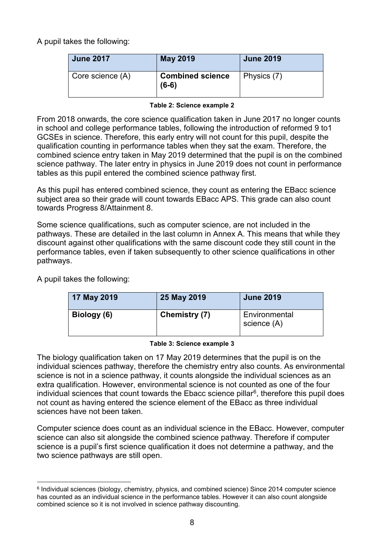A pupil takes the following:

| <b>June 2017</b> | <b>May 2019</b>                    | <b>June 2019</b> |
|------------------|------------------------------------|------------------|
| Core science (A) | <b>Combined science</b><br>$(6-6)$ | Physics (7)      |

#### **Table 2: Science example 2**

From 2018 onwards, the core science qualification taken in June 2017 no longer counts in school and college performance tables, following the introduction of reformed 9 to1 GCSEs in science. Therefore, this early entry will not count for this pupil, despite the qualification counting in performance tables when they sat the exam. Therefore, the combined science entry taken in May 2019 determined that the pupil is on the combined science pathway. The later entry in physics in June 2019 does not count in performance tables as this pupil entered the combined science pathway first.

As this pupil has entered combined science, they count as entering the EBacc science subject area so their grade will count towards EBacc APS. This grade can also count towards Progress 8/Attainment 8.

Some science qualifications, such as computer science, are not included in the pathways. These are detailed in the last column in Annex A. This means that while they discount against other qualifications with the same discount code they still count in the performance tables, even if taken subsequently to other science qualifications in other pathways.

A pupil takes the following:

| 17 May 2019 | 25 May 2019   | <b>June 2019</b>             |
|-------------|---------------|------------------------------|
| Biology (6) | Chemistry (7) | Environmental<br>science (A) |

#### **Table 3: Science example 3**

The biology qualification taken on 17 May 2019 determines that the pupil is on the individual sciences pathway, therefore the chemistry entry also counts. As environmental science is not in a science pathway, it counts alongside the individual sciences as an extra qualification. However, environmental science is not counted as one of the four individual sciences that count towards the Ebacc science pillar $6$ , therefore this pupil does not count as having entered the science element of the EBacc as three individual sciences have not been taken.

Computer science does count as an individual science in the EBacc. However, computer science can also sit alongside the combined science pathway. Therefore if computer science is a pupil's first science qualification it does not determine a pathway, and the two science pathways are still open.

<span id="page-7-0"></span> <sup>6</sup> Individual sciences (biology, chemistry, physics, and combined science) Since 2014 computer science has counted as an individual science in the performance tables. However it can also count alongside combined science so it is not involved in science pathway discounting.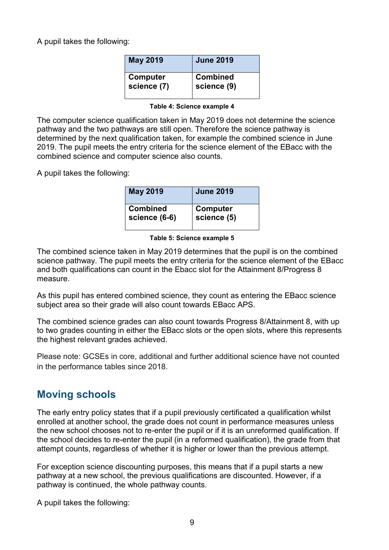A pupil takes the following:

| <b>May 2019</b> | <b>June 2019</b> |
|-----------------|------------------|
| Computer        | Combined         |
| science (7)     | science (9)      |

#### **Table 4: Science example 4**

The computer science qualification taken in May 2019 does not determine the science pathway and the two pathways are still open. Therefore the science pathway is determined by the next qualification taken, for example the combined science in June 2019. The pupil meets the entry criteria for the science element of the EBacc with the combined science and computer science also counts.

A pupil takes the following:

| <b>May 2019</b> | <b>June 2019</b> |
|-----------------|------------------|
| <b>Combined</b> | Computer         |
| science (6-6)   | science (5)      |

#### **Table 5: Science example 5**

The combined science taken in May 2019 determines that the pupil is on the combined science pathway. The pupil meets the entry criteria for the science element of the EBacc and both qualifications can count in the Ebacc slot for the Attainment 8/Progress 8 measure.

As this pupil has entered combined science, they count as entering the EBacc science subject area so their grade will also count towards EBacc APS.

The combined science grades can also count towards Progress 8/Attainment 8, with up to two grades counting in either the EBacc slots or the open slots, where this represents the highest relevant grades achieved.

Please note: GCSEs in core, additional and further additional science have not counted in the performance tables since 2018.

### <span id="page-8-0"></span>**Moving schools**

The early entry policy states that if a pupil previously certificated a qualification whilst enrolled at another school, the grade does not count in performance measures unless the new school chooses not to re-enter the pupil or if it is an unreformed qualification. If the school decides to re-enter the pupil (in a reformed qualification), the grade from that attempt counts, regardless of whether it is higher or lower than the previous attempt.

For exception science discounting purposes, this means that if a pupil starts a new pathway at a new school, the previous qualifications are discounted. However, if a pathway is continued, the whole pathway counts.

A pupil takes the following: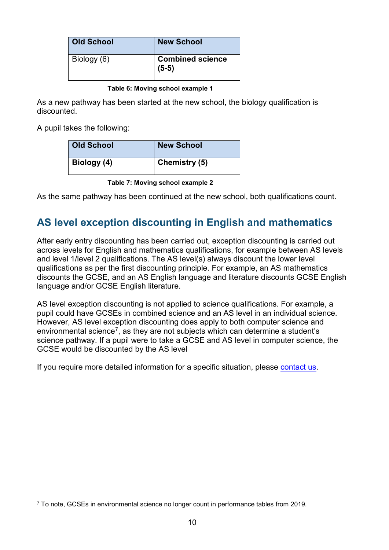| <b>Old School</b> | <b>New School</b>                  |
|-------------------|------------------------------------|
| Biology (6)       | <b>Combined science</b><br>$(5-5)$ |

#### **Table 6: Moving school example 1**

As a new pathway has been started at the new school, the biology qualification is discounted.

A pupil takes the following:

| <b>Old School</b> | <b>New School</b>    |
|-------------------|----------------------|
| Biology (4)       | <b>Chemistry (5)</b> |

**Table 7: Moving school example 2**

As the same pathway has been continued at the new school, both qualifications count.

## <span id="page-9-0"></span>**AS level exception discounting in English and mathematics**

After early entry discounting has been carried out, exception discounting is carried out across levels for English and mathematics qualifications, for example between AS levels and level 1/level 2 qualifications. The AS level(s) always discount the lower level qualifications as per the first discounting principle. For example, an AS mathematics discounts the GCSE, and an AS English language and literature discounts GCSE English language and/or GCSE English literature.

AS level exception discounting is not applied to science qualifications. For example, a pupil could have GCSEs in combined science and an AS level in an individual science. However, AS level exception discounting does apply to both computer science and environmental science<sup>7</sup>, as they are not subjects which can determine a student's science pathway. If a pupil were to take a GCSE and AS level in computer science, the GCSE would be discounted by the AS level

If you require more detailed information for a specific situation, please [contact us.](http://www.education.gov.uk/help/contactus/dfe)

<span id="page-9-1"></span> <sup>7</sup> To note, GCSEs in environmental science no longer count in performance tables from 2019.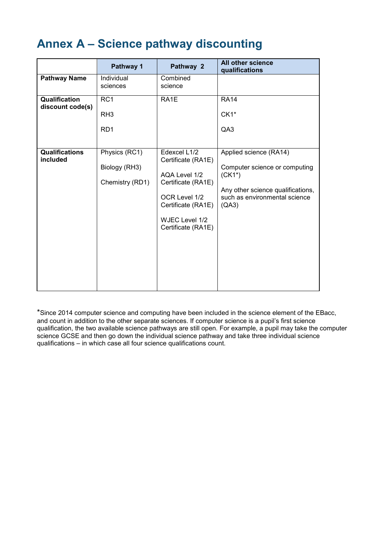# <span id="page-10-0"></span>**Annex A – Science pathway discounting**

|                                   | Pathway 1                                             | Pathway 2                                                                                                                                                | All other science<br>qualifications                                                                                                               |
|-----------------------------------|-------------------------------------------------------|----------------------------------------------------------------------------------------------------------------------------------------------------------|---------------------------------------------------------------------------------------------------------------------------------------------------|
| <b>Pathway Name</b>               | Individual<br>sciences                                | Combined<br>science                                                                                                                                      |                                                                                                                                                   |
| Qualification<br>discount code(s) | RC <sub>1</sub><br>RH <sub>3</sub><br>RD <sub>1</sub> | RA1E                                                                                                                                                     | <b>RA14</b><br>$CK1*$<br>QA3                                                                                                                      |
| <b>Qualifications</b><br>included | Physics (RC1)<br>Biology (RH3)<br>Chemistry (RD1)     | Edexcel L1/2<br>Certificate (RA1E)<br>AQA Level 1/2<br>Certificate (RA1E)<br>OCR Level 1/2<br>Certificate (RA1E)<br>WJEC Level 1/2<br>Certificate (RA1E) | Applied science (RA14)<br>Computer science or computing<br>$(CK1*)$<br>Any other science qualifications,<br>such as environmental science<br>(A3) |

\*Since 2014 computer science and computing have been included in the science element of the EBacc, and count in addition to the other separate sciences. If computer science is a pupil's first science qualification, the two available science pathways are still open. For example, a pupil may take the computer science GCSE and then go down the individual science pathway and take three individual science qualifications – in which case all four science qualifications count.